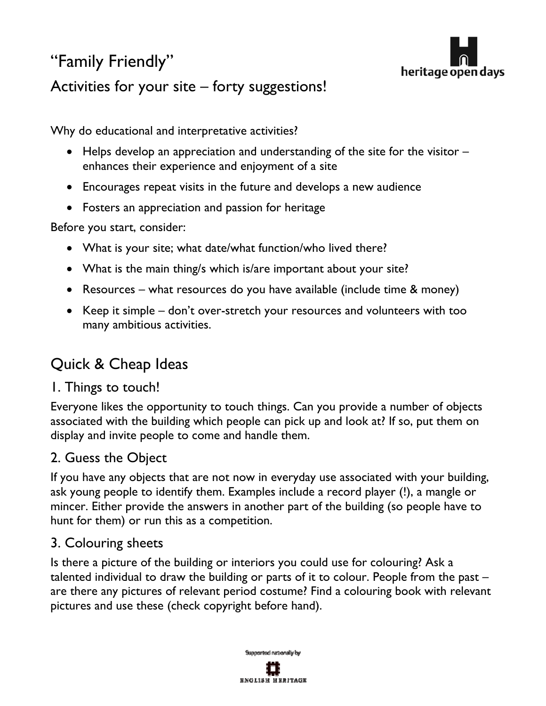# "Family Friendly" Activities for your site – forty suggestions!



Why do educational and interpretative activities?

- Helps develop an appreciation and understanding of the site for the visitor enhances their experience and enjoyment of a site
- Encourages repeat visits in the future and develops a new audience
- Fosters an appreciation and passion for heritage

Before you start, consider:

- What is your site; what date/what function/who lived there?
- What is the main thing/s which is/are important about your site?
- Resources what resources do you have available (include time & money)
- Keep it simple don't over-stretch your resources and volunteers with too many ambitious activities.

# Quick & Cheap Ideas

## 1. Things to touch!

Everyone likes the opportunity to touch things. Can you provide a number of objects associated with the building which people can pick up and look at? If so, put them on display and invite people to come and handle them.

#### 2. Guess the Object

If you have any objects that are not now in everyday use associated with your building, ask young people to identify them. Examples include a record player (!), a mangle or mincer. Either provide the answers in another part of the building (so people have to hunt for them) or run this as a competition.

#### 3. Colouring sheets

Is there a picture of the building or interiors you could use for colouring? Ask a talented individual to draw the building or parts of it to colour. People from the past – are there any pictures of relevant period costume? Find a colouring book with relevant pictures and use these (check copyright before hand).

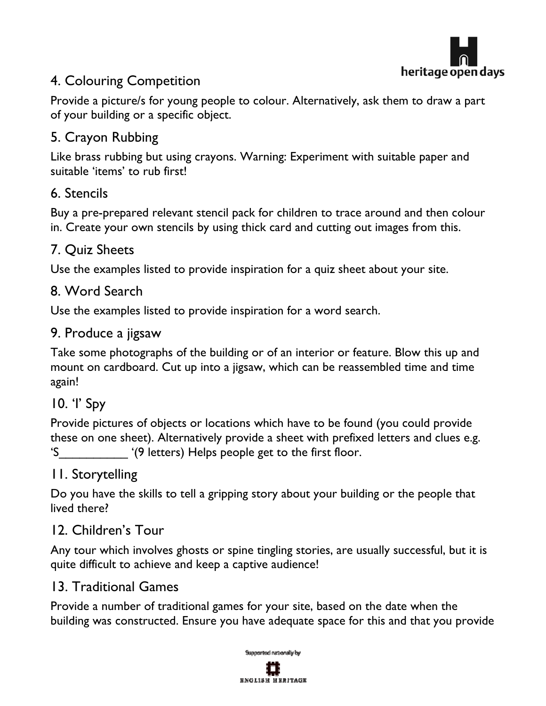

# 4. Colouring Competition

Provide a picture/s for young people to colour. Alternatively, ask them to draw a part of your building or a specific object.

## 5. Crayon Rubbing

Like brass rubbing but using crayons. Warning: Experiment with suitable paper and suitable 'items' to rub first!

## 6. Stencils

Buy a pre-prepared relevant stencil pack for children to trace around and then colour in. Create your own stencils by using thick card and cutting out images from this.

## 7. Quiz Sheets

Use the examples listed to provide inspiration for a quiz sheet about your site.

#### 8. Word Search

Use the examples listed to provide inspiration for a word search.

#### 9. Produce a jigsaw

Take some photographs of the building or of an interior or feature. Blow this up and mount on cardboard. Cut up into a jigsaw, which can be reassembled time and time again!

#### 10. 'I' Spy

Provide pictures of objects or locations which have to be found (you could provide these on one sheet). Alternatively provide a sheet with prefixed letters and clues e.g. 'S\_\_\_\_\_\_\_\_\_\_ '(9 letters) Helps people get to the first floor.

#### 11. Storytelling

Do you have the skills to tell a gripping story about your building or the people that lived there?

#### 12. Children's Tour

Any tour which involves ghosts or spine tingling stories, are usually successful, but it is quite difficult to achieve and keep a captive audience!

#### 13. Traditional Games

Provide a number of traditional games for your site, based on the date when the building was constructed. Ensure you have adequate space for this and that you provide

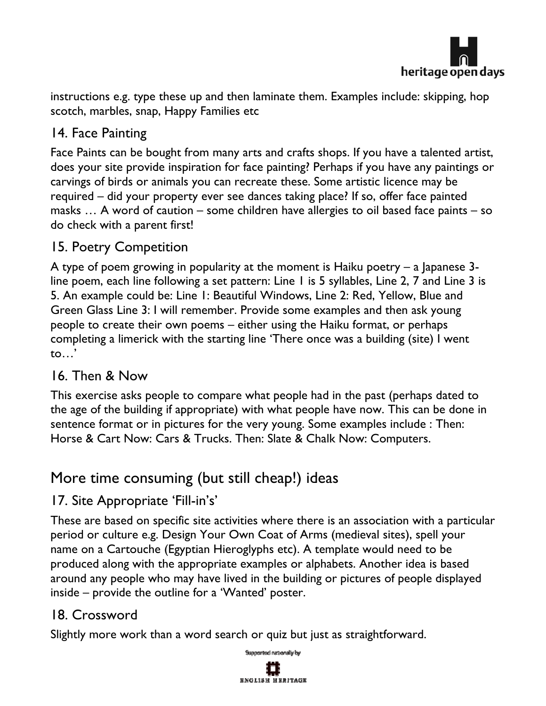

instructions e.g. type these up and then laminate them. Examples include: skipping, hop scotch, marbles, snap, Happy Families etc

# 14. Face Painting

Face Paints can be bought from many arts and crafts shops. If you have a talented artist, does your site provide inspiration for face painting? Perhaps if you have any paintings or carvings of birds or animals you can recreate these. Some artistic licence may be required – did your property ever see dances taking place? If so, offer face painted masks … A word of caution – some children have allergies to oil based face paints – so do check with a parent first!

## 15. Poetry Competition

A type of poem growing in popularity at the moment is Haiku poetry – a Japanese 3 line poem, each line following a set pattern: Line 1 is 5 syllables, Line 2, 7 and Line 3 is 5. An example could be: Line 1: Beautiful Windows, Line 2: Red, Yellow, Blue and Green Glass Line 3: I will remember. Provide some examples and then ask young people to create their own poems – either using the Haiku format, or perhaps completing a limerick with the starting line 'There once was a building (site) I went to…'

#### 16. Then & Now

This exercise asks people to compare what people had in the past (perhaps dated to the age of the building if appropriate) with what people have now. This can be done in sentence format or in pictures for the very young. Some examples include : Then: Horse & Cart Now: Cars & Trucks. Then: Slate & Chalk Now: Computers.

# More time consuming (but still cheap!) ideas

## 17. Site Appropriate 'Fill-in's'

These are based on specific site activities where there is an association with a particular period or culture e.g. Design Your Own Coat of Arms (medieval sites), spell your name on a Cartouche (Egyptian Hieroglyphs etc). A template would need to be produced along with the appropriate examples or alphabets. Another idea is based around any people who may have lived in the building or pictures of people displayed inside – provide the outline for a 'Wanted' poster.

## 18. Crossword

Slightly more work than a word search or quiz but just as straightforward.

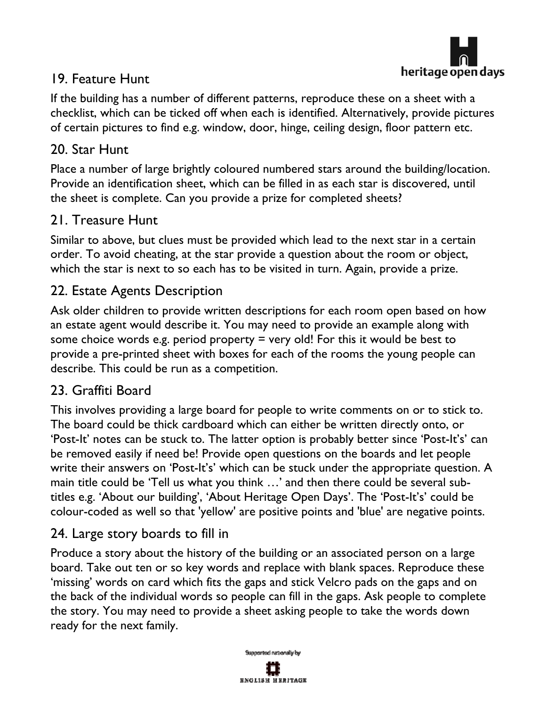

# 19. Feature Hunt

If the building has a number of different patterns, reproduce these on a sheet with a checklist, which can be ticked off when each is identified. Alternatively, provide pictures of certain pictures to find e.g. window, door, hinge, ceiling design, floor pattern etc.

#### 20. Star Hunt

Place a number of large brightly coloured numbered stars around the building/location. Provide an identification sheet, which can be filled in as each star is discovered, until the sheet is complete. Can you provide a prize for completed sheets?

#### 21. Treasure Hunt

Similar to above, but clues must be provided which lead to the next star in a certain order. To avoid cheating, at the star provide a question about the room or object, which the star is next to so each has to be visited in turn. Again, provide a prize.

## 22. Estate Agents Description

Ask older children to provide written descriptions for each room open based on how an estate agent would describe it. You may need to provide an example along with some choice words e.g. period property  $=$  very old! For this it would be best to provide a pre-printed sheet with boxes for each of the rooms the young people can describe. This could be run as a competition.

#### 23. Graffiti Board

This involves providing a large board for people to write comments on or to stick to. The board could be thick cardboard which can either be written directly onto, or 'Post-It' notes can be stuck to. The latter option is probably better since 'Post-It's' can be removed easily if need be! Provide open questions on the boards and let people write their answers on 'Post-It's' which can be stuck under the appropriate question. A main title could be 'Tell us what you think …' and then there could be several subtitles e.g. 'About our building', 'About Heritage Open Days'. The 'Post-It's' could be colour-coded as well so that 'yellow' are positive points and 'blue' are negative points.

#### 24. Large story boards to fill in

Produce a story about the history of the building or an associated person on a large board. Take out ten or so key words and replace with blank spaces. Reproduce these 'missing' words on card which fits the gaps and stick Velcro pads on the gaps and on the back of the individual words so people can fill in the gaps. Ask people to complete the story. You may need to provide a sheet asking people to take the words down ready for the next family.

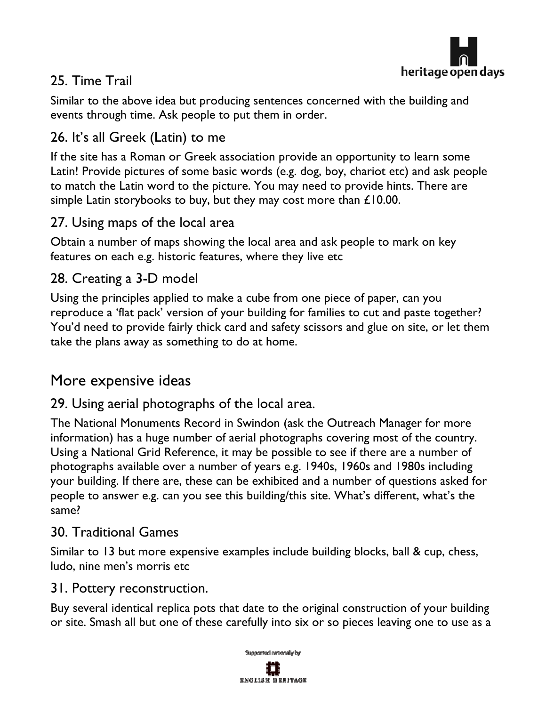

# 25. Time Trail

Similar to the above idea but producing sentences concerned with the building and events through time. Ask people to put them in order.

# 26. It's all Greek (Latin) to me

If the site has a Roman or Greek association provide an opportunity to learn some Latin! Provide pictures of some basic words (e.g. dog, boy, chariot etc) and ask people to match the Latin word to the picture. You may need to provide hints. There are simple Latin storybooks to buy, but they may cost more than £10.00.

## 27. Using maps of the local area

Obtain a number of maps showing the local area and ask people to mark on key features on each e.g. historic features, where they live etc

# 28. Creating a 3-D model

Using the principles applied to make a cube from one piece of paper, can you reproduce a 'flat pack' version of your building for families to cut and paste together? You'd need to provide fairly thick card and safety scissors and glue on site, or let them take the plans away as something to do at home.

# More expensive ideas

29. Using aerial photographs of the local area.

The National Monuments Record in Swindon (ask the Outreach Manager for more information) has a huge number of aerial photographs covering most of the country. Using a National Grid Reference, it may be possible to see if there are a number of photographs available over a number of years e.g. 1940s, 1960s and 1980s including your building. If there are, these can be exhibited and a number of questions asked for people to answer e.g. can you see this building/this site. What's different, what's the same?

#### 30. Traditional Games

Similar to 13 but more expensive examples include building blocks, ball & cup, chess, ludo, nine men's morris etc

#### 31. Pottery reconstruction.

Buy several identical replica pots that date to the original construction of your building or site. Smash all but one of these carefully into six or so pieces leaving one to use as a

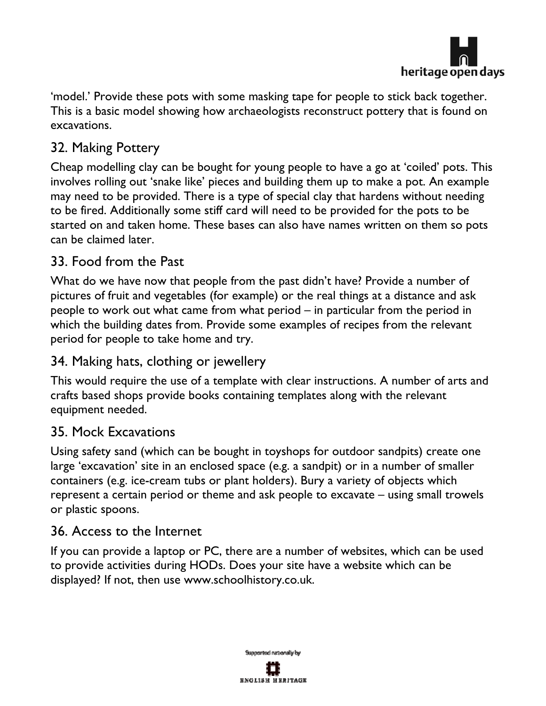

'model.' Provide these pots with some masking tape for people to stick back together. This is a basic model showing how archaeologists reconstruct pottery that is found on excavations.

## 32. Making Pottery

Cheap modelling clay can be bought for young people to have a go at 'coiled' pots. This involves rolling out 'snake like' pieces and building them up to make a pot. An example may need to be provided. There is a type of special clay that hardens without needing to be fired. Additionally some stiff card will need to be provided for the pots to be started on and taken home. These bases can also have names written on them so pots can be claimed later.

#### 33. Food from the Past

What do we have now that people from the past didn't have? Provide a number of pictures of fruit and vegetables (for example) or the real things at a distance and ask people to work out what came from what period – in particular from the period in which the building dates from. Provide some examples of recipes from the relevant period for people to take home and try.

#### 34. Making hats, clothing or jewellery

This would require the use of a template with clear instructions. A number of arts and crafts based shops provide books containing templates along with the relevant equipment needed.

#### 35. Mock Excavations

Using safety sand (which can be bought in toyshops for outdoor sandpits) create one large 'excavation' site in an enclosed space (e.g. a sandpit) or in a number of smaller containers (e.g. ice-cream tubs or plant holders). Bury a variety of objects which represent a certain period or theme and ask people to excavate – using small trowels or plastic spoons.

#### 36. Access to the Internet

If you can provide a laptop or PC, there are a number of websites, which can be used to provide activities during HODs. Does your site have a website which can be displayed? If not, then use www.schoolhistory.co.uk.

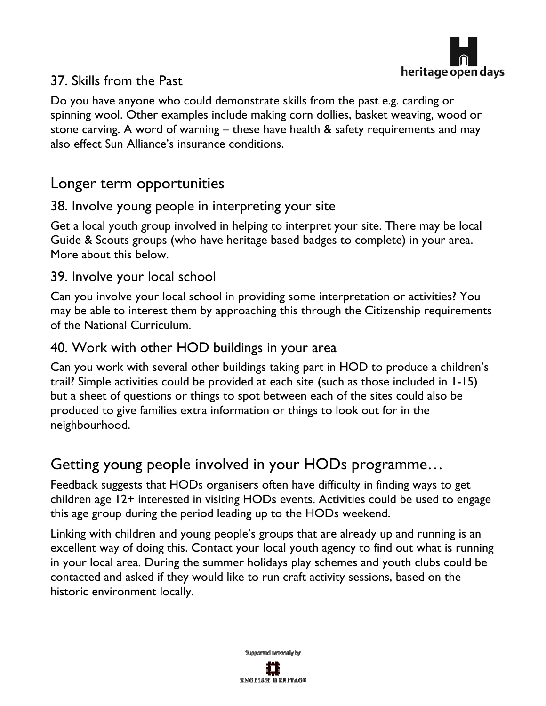

## 37. Skills from the Past

Do you have anyone who could demonstrate skills from the past e.g. carding or spinning wool. Other examples include making corn dollies, basket weaving, wood or stone carving. A word of warning – these have health & safety requirements and may also effect Sun Alliance's insurance conditions.

# Longer term opportunities

#### 38. Involve young people in interpreting your site

Get a local youth group involved in helping to interpret your site. There may be local Guide & Scouts groups (who have heritage based badges to complete) in your area. More about this below.

#### 39. Involve your local school

Can you involve your local school in providing some interpretation or activities? You may be able to interest them by approaching this through the Citizenship requirements of the National Curriculum.

#### 40. Work with other HOD buildings in your area

Can you work with several other buildings taking part in HOD to produce a children's trail? Simple activities could be provided at each site (such as those included in 1-15) but a sheet of questions or things to spot between each of the sites could also be produced to give families extra information or things to look out for in the neighbourhood.

# Getting young people involved in your HODs programme…

Feedback suggests that HODs organisers often have difficulty in finding ways to get children age 12+ interested in visiting HODs events. Activities could be used to engage this age group during the period leading up to the HODs weekend.

Linking with children and young people's groups that are already up and running is an excellent way of doing this. Contact your local youth agency to find out what is running in your local area. During the summer holidays play schemes and youth clubs could be contacted and asked if they would like to run craft activity sessions, based on the historic environment locally.